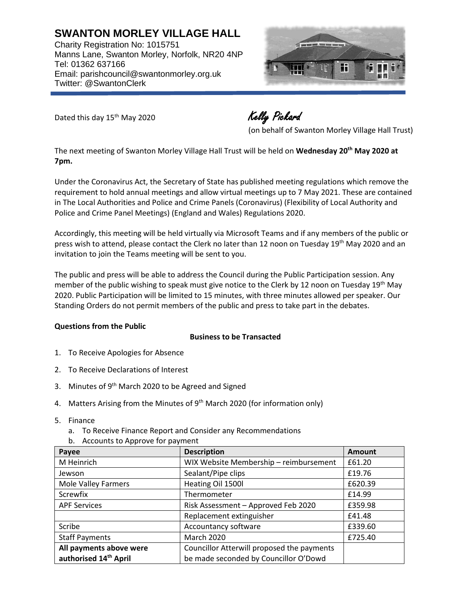**SWANTON MORLEY VILLAGE HALL** Charity Registration No: 1015751 Manns Lane, Swanton Morley, Norfolk, NR20 4NP Tel: 01362 637166 Email: parishcouncil@swantonmorley.org.uk Twitter: @SwantonClerk



Dated this day 15<sup>th</sup> May 2020 Kelly Pickard

(on behalf of Swanton Morley Village Hall Trust)

The next meeting of Swanton Morley Village Hall Trust will be held on **Wednesday 20th May 2020 at 7pm.** 

Under the Coronavirus Act, the Secretary of State has published meeting regulations which remove the requirement to hold annual meetings and allow virtual meetings up to 7 May 2021. These are contained in The Local Authorities and Police and Crime Panels (Coronavirus) (Flexibility of Local Authority and Police and Crime Panel Meetings) (England and Wales) Regulations 2020.

Accordingly, this meeting will be held virtually via Microsoft Teams and if any members of the public or press wish to attend, please contact the Clerk no later than 12 noon on Tuesday 19<sup>th</sup> May 2020 and an invitation to join the Teams meeting will be sent to you.

The public and press will be able to address the Council during the Public Participation session. Any member of the public wishing to speak must give notice to the Clerk by 12 noon on Tuesday 19<sup>th</sup> May 2020. Public Participation will be limited to 15 minutes, with three minutes allowed per speaker. Our Standing Orders do not permit members of the public and press to take part in the debates.

## **Questions from the Public**

## **Business to be Transacted**

- 1. To Receive Apologies for Absence
- 2. To Receive Declarations of Interest
- 3. Minutes of 9<sup>th</sup> March 2020 to be Agreed and Signed
- 4. Matters Arising from the Minutes of 9<sup>th</sup> March 2020 (for information only)
- 5. Finance
	- a. To Receive Finance Report and Consider any Recommendations
	- b. Accounts to Approve for payment

| Payee                      | <b>Description</b>                         | <b>Amount</b> |
|----------------------------|--------------------------------------------|---------------|
| M Heinrich                 | WIX Website Membership - reimbursement     | £61.20        |
| Jewson                     | Sealant/Pipe clips                         | £19.76        |
| <b>Mole Valley Farmers</b> | Heating Oil 1500l                          | £620.39       |
| Screwfix                   | Thermometer                                | £14.99        |
| <b>APF Services</b>        | Risk Assessment - Approved Feb 2020        | £359.98       |
|                            | Replacement extinguisher                   | £41.48        |
| Scribe                     | Accountancy software                       | £339.60       |
| <b>Staff Payments</b>      | <b>March 2020</b>                          | £725.40       |
| All payments above were    | Councillor Atterwill proposed the payments |               |
| authorised 14th April      | be made seconded by Councillor O'Dowd      |               |